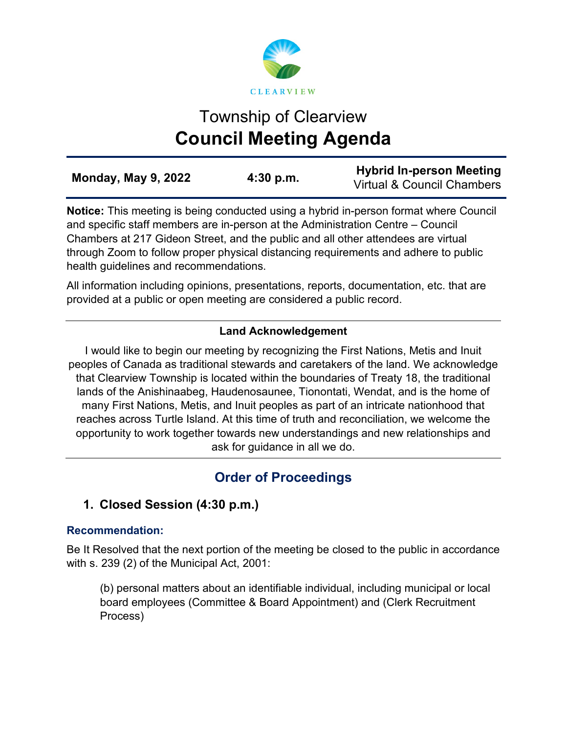

# Township of Clearview **Council Meeting Agenda**

**Notice:** This meeting is being conducted using a hybrid in-person format where Council and specific staff members are in-person at the Administration Centre – Council Chambers at 217 Gideon Street, and the public and all other attendees are virtual through Zoom to follow proper physical distancing requirements and adhere to public health guidelines and recommendations.

All information including opinions, presentations, reports, documentation, etc. that are provided at a public or open meeting are considered a public record.

# **Land Acknowledgement**

I would like to begin our meeting by recognizing the First Nations, Metis and Inuit peoples of Canada as traditional stewards and caretakers of the land. We acknowledge that Clearview Township is located within the boundaries of Treaty 18, the traditional lands of the Anishinaabeg, Haudenosaunee, Tionontati, Wendat, and is the home of many First Nations, Metis, and Inuit peoples as part of an intricate nationhood that reaches across Turtle Island. At this time of truth and reconciliation, we welcome the opportunity to work together towards new understandings and new relationships and ask for guidance in all we do.

# **Order of Proceedings**

# **1. Closed Session (4:30 p.m.)**

# **Recommendation:**

Be It Resolved that the next portion of the meeting be closed to the public in accordance with s. 239 (2) of the Municipal Act, 2001:

(b) personal matters about an identifiable individual, including municipal or local board employees (Committee & Board Appointment) and (Clerk Recruitment Process)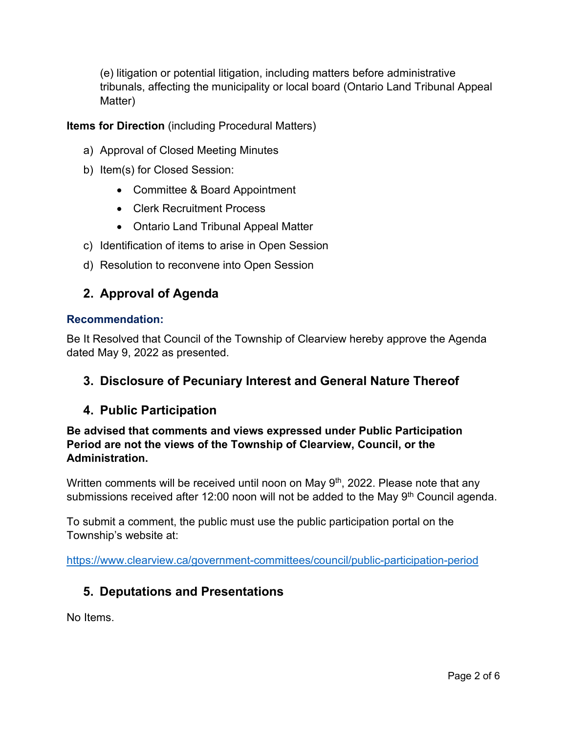(e) litigation or potential litigation, including matters before administrative tribunals, affecting the municipality or local board (Ontario Land Tribunal Appeal Matter)

# **Items for Direction** (including Procedural Matters)

- a) Approval of Closed Meeting Minutes
- b) Item(s) for Closed Session:
	- Committee & Board Appointment
	- Clerk Recruitment Process
	- Ontario Land Tribunal Appeal Matter
- c) Identification of items to arise in Open Session
- d) Resolution to reconvene into Open Session

# **2. Approval of Agenda**

#### **Recommendation:**

Be It Resolved that Council of the Township of Clearview hereby approve the Agenda dated May 9, 2022 as presented.

# **3. Disclosure of Pecuniary Interest and General Nature Thereof**

# **4. Public Participation**

**Be advised that comments and views expressed under Public Participation Period are not the views of the Township of Clearview, Council, or the Administration.** 

Written comments will be received until noon on May 9<sup>th</sup>, 2022. Please note that any submissions received after 12:00 noon will not be added to the May 9<sup>th</sup> Council agenda.

To submit a comment, the public must use the public participation portal on the Township's website at:

<https://www.clearview.ca/government-committees/council/public-participation-period>

# **5. Deputations and Presentations**

No Items.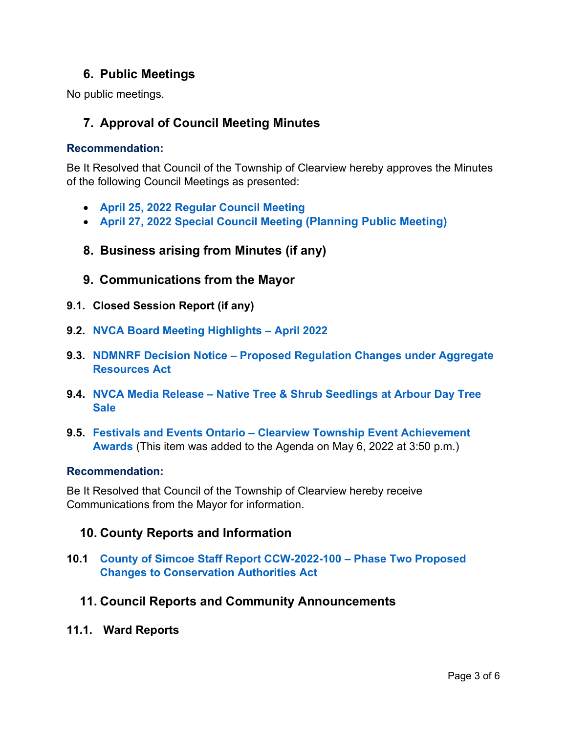# **6. Public Meetings**

No public meetings.

# **7. Approval of Council Meeting Minutes**

#### **Recommendation:**

Be It Resolved that Council of the Township of Clearview hereby approves the Minutes of the following Council Meetings as presented:

- **[April 25, 2022 Regular Council Meeting](https://www.clearview.ca/sites/default/files/uploads/publications/2022-04-25_council_meeting_minutes.pdf)**
- **[April 27, 2022 Special](https://www.clearview.ca/sites/default/files/uploads/publications/2022-04-27_special_council_meeting_minutes_planning_public_meeting.pdf) Council Meeting [\(Planning Public Meeting\)](https://www.clearview.ca/sites/default/files/uploads/publications/2022-04-27_special_council_meeting_minutes_planning_public_meeting.pdf)**
- **8. Business arising from Minutes (if any)**
- **9. Communications from the Mayor**
- **9.1. Closed Session Report (if any)**
- **9.2. [NVCA Board Meeting Highlights –](https://www.clearview.ca/sites/default/files/uploads/publications/9.2_nvca_board_meeting_highlights_-_april_2022.pdf) April 2022**
- **9.3. NDMNRF Decision Notice – [Proposed Regulation Changes under Aggregate](https://www.clearview.ca/sites/default/files/uploads/publications/9.3_ndmnrf_decision_notice_-_proposed_regulation_changes_under_aggregate_resources_act.pdf)  [Resources Act](https://www.clearview.ca/sites/default/files/uploads/publications/9.3_ndmnrf_decision_notice_-_proposed_regulation_changes_under_aggregate_resources_act.pdf)**
- **9.4. NVCA Media Release – [Native Tree & Shrub Seedlings at Arbour Day Tree](https://www.clearview.ca/sites/default/files/uploads/publications/9.4_nvca_media_release_-_native_tree_shrub_seedlings_at_arbour_day_tree_sale.pdf)  [Sale](https://www.clearview.ca/sites/default/files/uploads/publications/9.4_nvca_media_release_-_native_tree_shrub_seedlings_at_arbour_day_tree_sale.pdf)**
- **9.5. Festivals and Events Ontario – [Clearview Township Event Achievement](https://www.clearview.ca/sites/default/files/uploads/publications/9.5_festivals_and_events_ontario_-_clearview_township_event_achievement_awards.pdf)  [Awards](https://www.clearview.ca/sites/default/files/uploads/publications/9.5_festivals_and_events_ontario_-_clearview_township_event_achievement_awards.pdf)** (This item was added to the Agenda on May 6, 2022 at 3:50 p.m.)

#### **Recommendation:**

Be It Resolved that Council of the Township of Clearview hereby receive Communications from the Mayor for information.

# **10. County Reports and Information**

**10.1 [County of Simcoe Staff Report CCW-2022-100 –](https://www.clearview.ca/sites/default/files/uploads/publications/10.1_simcoe_county_report_-_phase_2_proposed_changes_conservation_authorities_act.pdf) Phase Two Proposed [Changes to Conservation Authorities Act](https://www.clearview.ca/sites/default/files/uploads/publications/10.1_simcoe_county_report_-_phase_2_proposed_changes_conservation_authorities_act.pdf)**

### **11. Council Reports and Community Announcements**

**11.1. Ward Reports**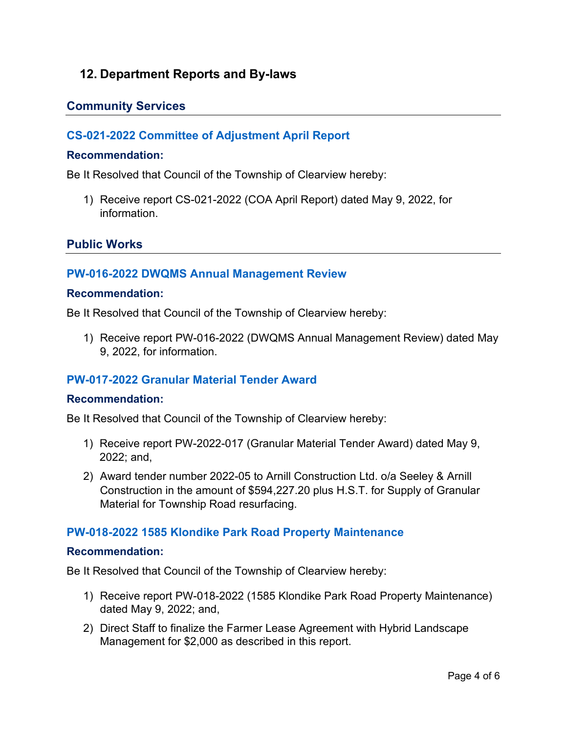# **12. Department Reports and By-laws**

# **Community Services**

# **[CS-021-2022 Committee of Adjustment April Report](https://www.clearview.ca/sites/default/files/uploads/publications/cs-021-2022_april_2022_coa_report.pdf)**

#### **Recommendation:**

Be It Resolved that Council of the Township of Clearview hereby:

1) Receive report CS-021-2022 (COA April Report) dated May 9, 2022, for information.

# **Public Works**

# **[PW-016-2022 DWQMS Annual Management Review](https://www.clearview.ca/sites/default/files/uploads/publications/pw-016-2022_dwqms_management_review.pdf)**

#### **Recommendation:**

Be It Resolved that Council of the Township of Clearview hereby:

1) Receive report PW-016-2022 (DWQMS Annual Management Review) dated May 9, 2022, for information.

# **[PW-017-2022 Granular Material Tender Award](https://www.clearview.ca/sites/default/files/uploads/publications/pw-017-2022_granular_material_tender_award.pdf)**

#### **Recommendation:**

Be It Resolved that Council of the Township of Clearview hereby:

- 1) Receive report PW-2022-017 (Granular Material Tender Award) dated May 9, 2022; and,
- 2) Award tender number 2022-05 to Arnill Construction Ltd. o/a Seeley & Arnill Construction in the amount of \$594,227.20 plus H.S.T. for Supply of Granular Material for Township Road resurfacing.

### **[PW-018-2022 1585 Klondike Park Road Property Maintenance](https://www.clearview.ca/sites/default/files/uploads/publications/pw-018-2022_1585_klondike_park_road_property_maintenance.pdf)**

#### **Recommendation:**

Be It Resolved that Council of the Township of Clearview hereby:

- 1) Receive report PW-018-2022 (1585 Klondike Park Road Property Maintenance) dated May 9, 2022; and,
- 2) Direct Staff to finalize the Farmer Lease Agreement with Hybrid Landscape Management for \$2,000 as described in this report.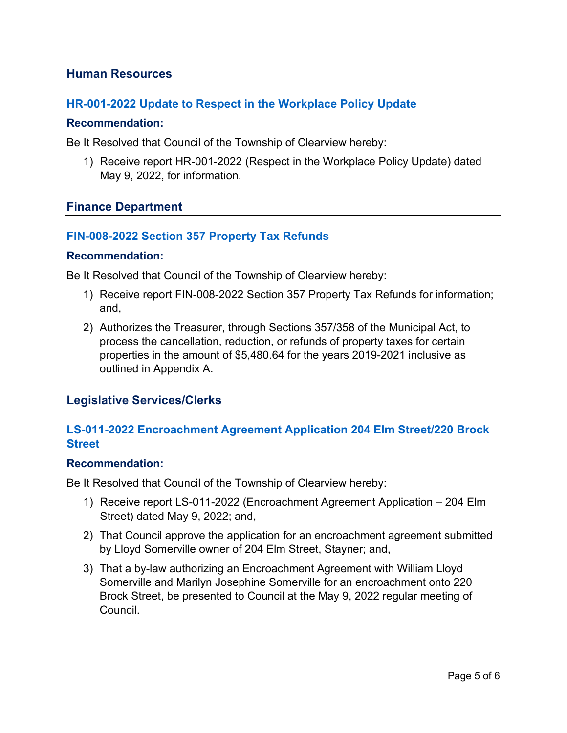### **Human Resources**

# **[HR-001-2022 Update to Respect in the Workplace Policy](https://www.clearview.ca/sites/default/files/uploads/publications/hr-001-2022_respect_in_the_workplace_policy_update.pdf) Update**

#### **Recommendation:**

Be It Resolved that Council of the Township of Clearview hereby:

1) Receive report HR-001-2022 (Respect in the Workplace Policy Update) dated May 9, 2022, for information.

### **Finance Department**

# **[FIN-008-2022 Section 357 Property Tax Refunds](https://www.clearview.ca/sites/default/files/uploads/publications/fin-008-2022_2022_section_357_property_tax_refunds.pdf)**

#### **Recommendation:**

Be It Resolved that Council of the Township of Clearview hereby:

- 1) Receive report FIN-008-2022 Section 357 Property Tax Refunds for information; and,
- 2) Authorizes the Treasurer, through Sections 357/358 of the Municipal Act, to process the cancellation, reduction, or refunds of property taxes for certain properties in the amount of \$5,480.64 for the years 2019-2021 inclusive as outlined in Appendix A.

### **Legislative Services/Clerks**

# **[LS-011-2022 Encroachment Agreement Application 204 Elm Street/220 Brock](https://www.clearview.ca/sites/default/files/uploads/publications/ls-011-2022_encroachment_agreement_request_-_204_elm_street.pdf)  [Street](https://www.clearview.ca/sites/default/files/uploads/publications/ls-011-2022_encroachment_agreement_request_-_204_elm_street.pdf)**

#### **Recommendation:**

Be It Resolved that Council of the Township of Clearview hereby:

- 1) Receive report LS-011-2022 (Encroachment Agreement Application 204 Elm Street) dated May 9, 2022; and,
- 2) That Council approve the application for an encroachment agreement submitted by Lloyd Somerville owner of 204 Elm Street, Stayner; and,
- 3) That a by-law authorizing an Encroachment Agreement with William Lloyd Somerville and Marilyn Josephine Somerville for an encroachment onto 220 Brock Street, be presented to Council at the May 9, 2022 regular meeting of Council.